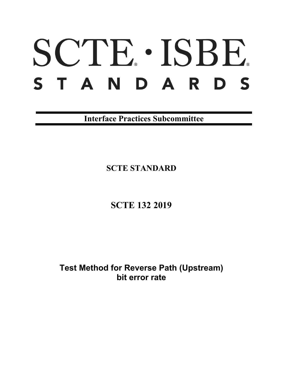# SCTE · ISBE. STANDARDS

**Interface Practices Subcommittee**

**SCTE STANDARD**

**SCTE 132 2019**

**Test Method for Reverse Path (Upstream) bit error rate**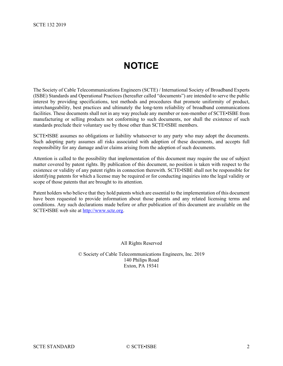# **NOTICE**

<span id="page-1-0"></span>The Society of Cable Telecommunications Engineers (SCTE) / International Society of Broadband Experts (ISBE) Standards and Operational Practices (hereafter called "documents") are intended to serve the public interest by providing specifications, test methods and procedures that promote uniformity of product, interchangeability, best practices and ultimately the long-term reliability of broadband communications facilities. These documents shall not in any way preclude any member or non-member of SCTE•ISBE from manufacturing or selling products not conforming to such documents, nor shall the existence of such standards preclude their voluntary use by those other than SCTE•ISBE members.

SCTE•ISBE assumes no obligations or liability whatsoever to any party who may adopt the documents. Such adopting party assumes all risks associated with adoption of these documents, and accepts full responsibility for any damage and/or claims arising from the adoption of such documents.

Attention is called to the possibility that implementation of this document may require the use of subject matter covered by patent rights. By publication of this document, no position is taken with respect to the existence or validity of any patent rights in connection therewith. SCTE•ISBE shall not be responsible for identifying patents for which a license may be required or for conducting inquiries into the legal validity or scope of those patents that are brought to its attention.

Patent holders who believe that they hold patents which are essential to the implementation of this document have been requested to provide information about those patents and any related licensing terms and conditions. Any such declarations made before or after publication of this document are available on the SCTE•ISBE web site at [http://www.scte.org.](http://www.scte.org/)

All Rights Reserved

© Society of Cable Telecommunications Engineers, Inc. 2019 140 Philips Road Exton, PA 19341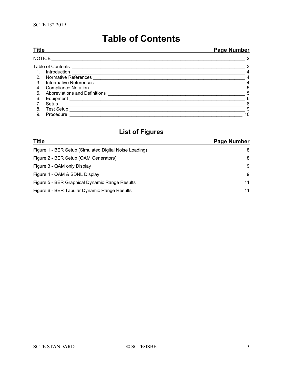# **Table of Contents**

<span id="page-2-0"></span>

| <b>Title</b>   |                               | <b>Page Number</b> |  |
|----------------|-------------------------------|--------------------|--|
| <b>NOTICE</b>  |                               | $\overline{2}$     |  |
|                | <b>Table of Contents</b>      | 3                  |  |
|                | Introduction                  | 4                  |  |
| 2 <sub>1</sub> | <b>Normative References</b>   | 4                  |  |
| 3.             | Informative References        | 4                  |  |
| 4.             | <b>Compliance Notation</b>    | 5                  |  |
| 5.             | Abbreviations and Definitions | 5                  |  |
| 6.             | Equipment                     | 6                  |  |
|                | Setup                         | 8                  |  |
| 8.             | <b>Test Setup</b>             | 9                  |  |
| 9.             | Procedure                     | 10                 |  |

# **List of Figures**

| <b>Title</b>                                           | <b>Page Number</b> |
|--------------------------------------------------------|--------------------|
| Figure 1 - BER Setup (Simulated Digital Noise Loading) | 8                  |
| Figure 2 - BER Setup (QAM Generators)                  | 8                  |
| Figure 3 - QAM only Display                            | -9                 |
| Figure 4 - QAM & SDNL Display                          | -9                 |
| Figure 5 - BER Graphical Dynamic Range Results         | 11                 |
| Figure 6 - BER Tabular Dynamic Range Results           | 11                 |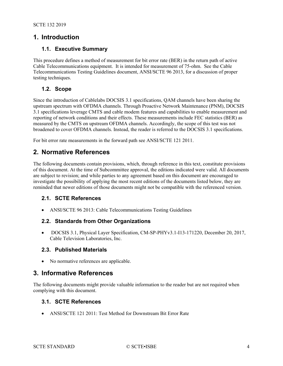# <span id="page-3-0"></span>**1. Introduction**

#### **1.1. Executive Summary**

This procedure defines a method of measurement for bit error rate (BER) in the return path of active Cable Telecommunications equipment. It is intended for measurement of 75-ohm. See the Cable Telecommunications Testing Guidelines document, ANSI/SCTE 96 2013, for a discussion of proper testing techniques.

#### **1.2. Scope**

Since the introduction of Cablelabs DOCSIS 3.1 specifications, QAM channels have been sharing the upstream spectrum with OFDMA channels. Through Proactive Network Maintenance (PNM), DOCSIS 3.1 specifications leverage CMTS and cable modem features and capabilities to enable measurement and reporting of network conditions and their effects. These measurements include FEC statistics (BER) as measured by the CMTS on upstream OFDMA channels. Accordingly, the scope of this test was not broadened to cover OFDMA channels. Instead, the reader is referred to the DOCSIS 3.1 specifications.

<span id="page-3-1"></span>For bit error rate measurements in the forward path see ANSI/SCTE 121 2011.

# **2. Normative References**

The following documents contain provisions, which, through reference in this text, constitute provisions of this document. At the time of Subcommittee approval, the editions indicated were valid. All documents are subject to revision; and while parties to any agreement based on this document are encouraged to investigate the possibility of applying the most recent editions of the documents listed below, they are reminded that newer editions of those documents might not be compatible with the referenced version.

#### **2.1. SCTE References**

• ANSI/SCTE 96 2013: Cable Telecommunications Testing Guidelines

#### **2.2. Standards from Other Organizations**

• DOCSIS 3.1, Physical Layer Specification, CM-SP-PHYv3.1-I13-171220, December 20, 2017, Cable Television Laboratories, Inc.

#### **2.3. Published Materials**

• No normative references are applicable.

# <span id="page-3-2"></span>**3. Informative References**

The following documents might provide valuable information to the reader but are not required when complying with this document.

#### **3.1. SCTE References**

• ANSI/SCTE 121 2011: Test Method for Downstream Bit Error Rate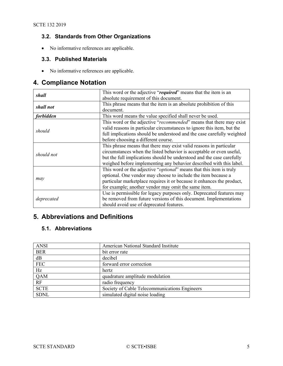## **3.2. Standards from Other Organizations**

• No informative references are applicable.

#### **3.3. Published Materials**

• No informative references are applicable.

# <span id="page-4-0"></span>**4. Compliance Notation**

| shall      | This word or the adjective "required" means that the item is an              |
|------------|------------------------------------------------------------------------------|
|            | absolute requirement of this document.                                       |
| shall not  | This phrase means that the item is an absolute prohibition of this           |
|            | document.                                                                    |
| forbidden  | This word means the value specified shall never be used.                     |
|            | This word or the adjective "recommended" means that there may exist          |
| should     | valid reasons in particular circumstances to ignore this item, but the       |
|            | full implications should be understood and the case carefully weighted       |
|            | before choosing a different course.                                          |
|            | This phrase means that there may exist valid reasons in particular           |
| should not | circumstances when the listed behavior is acceptable or even useful,         |
|            | but the full implications should be understood and the case carefully        |
|            | weighed before implementing any behavior described with this label.          |
|            | This word or the adjective " <i>optional</i> " means that this item is truly |
|            | optional. One vendor may choose to include the item because a                |
| may        | particular marketplace requires it or because it enhances the product,       |
|            | for example; another vendor may omit the same item.                          |
|            | Use is permissible for legacy purposes only. Deprecated features may         |
| deprecated | be removed from future versions of this document. Implementations            |
|            | should avoid use of deprecated features.                                     |

# <span id="page-4-1"></span>**5. Abbreviations and Definitions**

#### **5.1. Abbreviations**

| <b>ANSI</b> | American National Standard Institute          |
|-------------|-----------------------------------------------|
| <b>BER</b>  | bit error rate                                |
| dB          | decibel                                       |
| <b>FEC</b>  | forward error correction                      |
| Hz          | hertz                                         |
| QAM         | quadrature amplitude modulation               |
| RF          | radio frequency                               |
| <b>SCTE</b> | Society of Cable Telecommunications Engineers |
| <b>SDNL</b> | simulated digital noise loading               |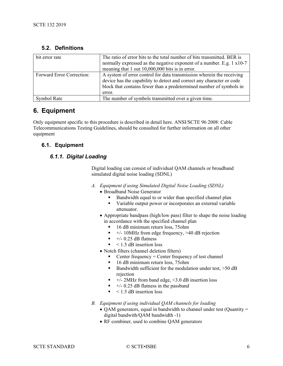| bit error rate                   | The ratio of error bits to the total number of bits transmitted. BER is<br>normally expressed as the negative exponent of a number. E.g. 1 x10-7<br>meaning that 1 out 10,000,000 bits is in error.                             |
|----------------------------------|---------------------------------------------------------------------------------------------------------------------------------------------------------------------------------------------------------------------------------|
| <b>Forward Error Correction:</b> | A system of error control for data transmission wherein the receiving<br>device has the capability to detect and correct any character or code<br>block that contains fewer than a predetermined number of symbols in<br>error. |
| Symbol Rate                      | The number of symbols transmitted over a given time.                                                                                                                                                                            |

#### **5.2. Definitions**

# <span id="page-5-0"></span>**6. Equipment**

Only equipment specific to this procedure is described in detail here. ANSI/SCTE 96 2008: Cable Telecommunications Testing Guidelines, should be consulted for further information on all other equipment

#### **6.1. Equipment**

#### *6.1.1. Digital Loading*

Digital loading can consist of individual QAM channels or broadband simulated digital noise loading (SDNL)

- *A. Equipment if using Simulated Digital Noise Loading (SDNL)* 
	- Broadband Noise Generator
		- Bandwidth equal to or wider than specified channel plan
		- Variable output power or incorporates an external variable attenuator.
	- Appropriate bandpass (high/low pass) filter to shape the noise loading in accordance with the specified channel plan
		- 16 dB minimum return loss, 75ohm
		- $+/- 10$ MHz from edge frequency,  $>40$  dB rejection
		- $+/- 0.25$  dB flatness
		- $\sim$  1.5 dB insertion loss
	- Notch filters (channel deletion filters)
		- Center frequency = Center frequency of test channel
		- 16 dB minimum return loss, 75ohm
		- Bandwidth sufficient for the modulation under test,  $>50$  dB rejection
		- $+/- 2MHz$  from band edge, <3.0 dB insertion loss
		- $+/- 0.25$  dB flatness in the passband
		- $\sim$  1.5 dB insertion loss
- *B. Equipment if using individual QAM channels for loading*
	- QAM generators, equal in bandwidth to channel under test (Quantity = digital bandwith/QAM bandwidth -1)
	- RF combiner, used to combine QAM generators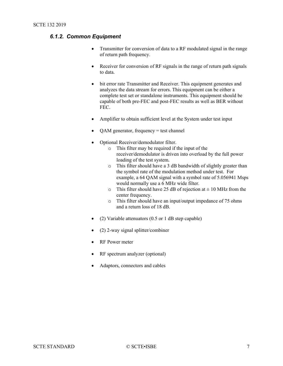#### *6.1.2. Common Equipment*

- Transmitter for conversion of data to a RF modulated signal in the range of return path frequency.
- Receiver for conversion of RF signals in the range of return path signals to data.
- bit error rate Transmitter and Receiver. This equipment generates and analyzes the data stream for errors. This equipment can be either a complete test set or standalone instruments. This equipment should be capable of both pre-FEC and post-FEC results as well as BER without FEC.
- Amplifier to obtain sufficient level at the System under test input
- QAM generator, frequency = test channel
- Optional Receiver/demodulator filter.
	- o This filter may be required if the input of the receiver/demodulator is driven into overload by the full power loading of the test system.
	- o This filter should have a 3 dB bandwidth of slightly greater than the symbol rate of the modulation method under test. For example, a 64 QAM signal with a symbol rate of 5.056941 Msps would normally use a 6 MHz wide filter.
	- $\circ$  This filter should have 25 dB of rejection at  $\pm$  10 MHz from the center frequency.
	- o This filter should have an input/output impedance of 75 ohms and a return loss of 18 dB.
- (2) Variable attenuators (0.5 or 1 dB step capable)
- (2) 2-way signal splitter/combiner
- RF Power meter
- RF spectrum analyzer (optional)
- Adaptors, connectors and cables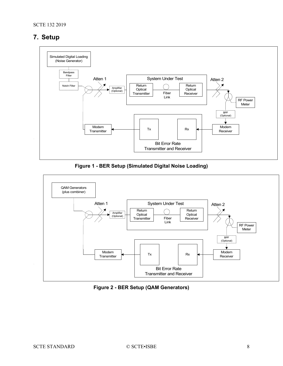# <span id="page-7-0"></span>**7. Setup**



**Figure 1 - BER Setup (Simulated Digital Noise Loading)**

<span id="page-7-1"></span>

<span id="page-7-2"></span>**Figure 2 - BER Setup (QAM Generators)**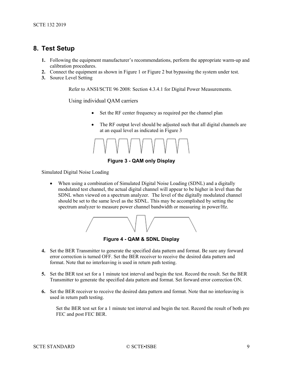#### <span id="page-8-0"></span>**8. Test Setup**

- **1.** Following the equipment manufacturer's recommendations, perform the appropriate warm-up and calibration procedures.
- **2.** Connect the equipment as shown in [Figure 1](#page-7-1) or [Figure 2](#page-7-2) but bypassing the system under test.
- **3.** Source Level Setting

Refer to ANSI/SCTE 96 2008: Section 4.3.4.1 for Digital Power Measurements.

Using individual QAM carriers

- Set the RF center frequency as required per the channel plan
- The RF output level should be adjusted such that all digital channels are at an equal level as indicated in [Figure 3](#page-8-1)



**Figure 3 - QAM only Display**

<span id="page-8-1"></span>Simulated Digital Noise Loading

• When using a combination of Simulated Digital Noise Loading (SDNL) and a digitally modulated test channel, the actual digital channel will appear to be higher in level than the SDNL when viewed on a spectrum analyzer. The level of the digitally modulated channel should be set to the same level as the SDNL. This may be accomplished by setting the spectrum analyzer to measure power channel bandwidth or measuring in power/Hz.



**Figure 4 - QAM & SDNL Display**

- <span id="page-8-2"></span>**4.** Set the BER Transmitter to generate the specified data pattern and format. Be sure any forward error correction is turned OFF. Set the BER receiver to receive the desired data pattern and format. Note that no interleaving is used in return path testing.
- **5.** Set the BER test set for a 1 minute test interval and begin the test. Record the result. Set the BER Transmitter to generate the specified data pattern and format. Set forward error correction ON.
- **6.** Set the BER receiver to receive the desired data pattern and format. Note that no interleaving is used in return path testing.

Set the BER test set for a 1 minute test interval and begin the test. Record the result of both pre FEC and post FEC BER.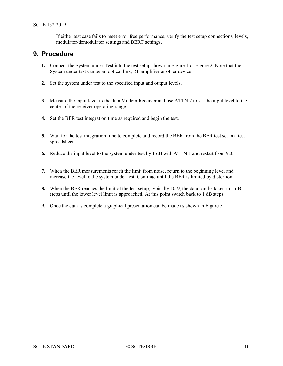If either test case fails to meet error free performance, verify the test setup connections, levels, modulator/demodulator settings and BERT settings.

## <span id="page-9-0"></span>**9. Procedure**

- **1.** Connect the System under Test into the test setup shown in [Figure 1](#page-7-1) or [Figure 2.](#page-7-2) Note that the System under test can be an optical link, RF amplifier or other device.
- **2.** Set the system under test to the specified input and output levels.
- **3.** Measure the input level to the data Modem Receiver and use ATTN 2 to set the input level to the center of the receiver operating range.
- **4.** Set the BER test integration time as required and begin the test.
- **5.** Wait for the test integration time to complete and record the BER from the BER test set in a test spreadsheet.
- **6.** Reduce the input level to the system under test by 1 dB with ATTN 1 and restart from 9.3.
- **7.** When the BER measurements reach the limit from noise, return to the beginning level and increase the level to the system under test. Continue until the BER is limited by distortion.
- **8.** When the BER reaches the limit of the test setup, typically 10-9, the data can be taken in 5 dB steps until the lower level limit is approached. At this point switch back to 1 dB steps.
- **9.** Once the data is complete a graphical presentation can be made as shown in [Figure 5.](#page-10-0)